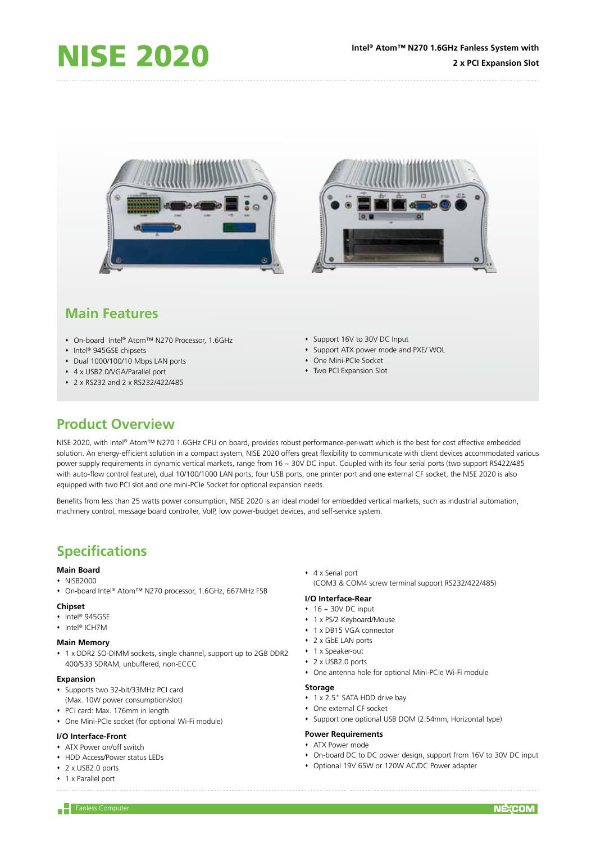





# **Main Features**

- On-board Intel® Atom™ N270 Processor, 1.6GHz
- Intel® 945GSE chipsets
- Dual 1000/100/10 Mbps LAN ports
- 4 x USB2.0/VGA/Parallel port
- 2 x RS232 and 2 x RS232/422/485
- Support 16V to 30V DC Input
- Support ATX power mode and PXE/ WOL
- One Mini-PCIe Socket
- Two PCI Expansion Slot

## **Product Overview**

NISE 2020, with Intel® Atom™ N270 1.6GHz CPU on board, provides robust performance-per-watt which is the best for cost effective embedded solution. An energy-efficient solution in a compact system. NISE 2020 offers great flexibility to communicate with client devices accommodated various power supply requirements in dynamic vertical markets, range from 16 ~ 30V DC input. Coupled with its four serial ports (two support RS422/485 with auto-flow control feature), dual 10/100/1000 LAN ports, four USB ports, one printer port and one external CF socket, the NISE 2020 is also equipped with two PCI slot and one mini-PCIe Socket for optional expansion needs.

Benefits from less than 25 watts power consumption, NISE 2020 is an ideal model for embedded vertical markets, such as industrial automation, machinery control, message board controller, VoIP, low power-budget devices, and self-service system.

# **Specifications**

## **Main Board**

- $\cdot$  NISB2000
- On-board Intel® Atom™ N270 processor, 1.6GHz, 667MHz FSB

## **Chipset**

- ◆ Intel® 945GSE
- Intel® ICH7M

### **Main Memory**

 1 x DDR2 SO-DIMM sockets, single channel, support up to 2GB DDR2 400/533 SDRAM, unbuffered, non-ECCC

### **Expansion**

- Supports two 32-bit/33MHz PCI card
- (Max. 10W power consumption/slot)
- PCI card: Max. 176mm in length
- One Mini-PCIe socket (for optional Wi-Fi module)

## **I/O Interface-Front**

- ATX Power on/off switch
- HDD Access/Power status LEDs
- ◆ 2 x USB2.0 ports
- 1 x Parallel port

4 x Serial port

(COM3 & COM4 screw terminal support RS232/422/485)

## **I/O Interface-Rear**

- $\cdot$  16 ~ 30V DC input
- 1 x PS/2 Keyboard/Mouse
- 1 x DB15 VGA connector
- 2 x GbE LAN ports
- 1 x Speaker-out
- ◆ 2 x USB2.0 ports
- One antenna hole for optional Mini-PCIe Wi-Fi module

#### **Storage**

- 1 x 2.5" SATA HDD drive bay
- One external CF socket
- Support one optional USB DOM (2.54mm, Horizontal type)

## **Power Requirements**

- ATX Power mode
- On-board DC to DC power design, support from 16V to 30V DC input
- Optional 19V 65W or 120W AC/DC Power adapter

 $\begin{array}{|c|c|c|}\n\hline\n- & \text{Fanless Computer}\n\end{array}$